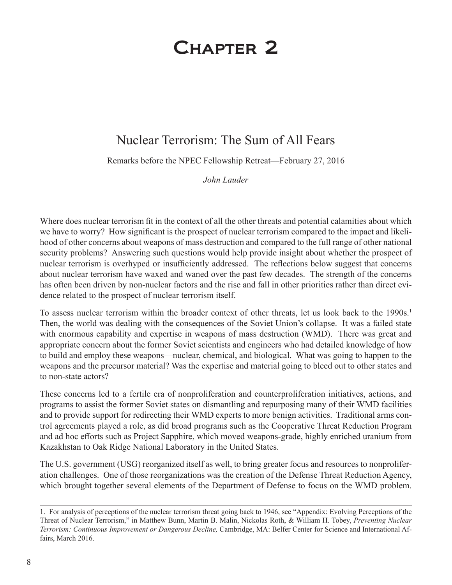## Chapter 2

## Nuclear Terrorism: The Sum of All Fears

Remarks before the NPEC Fellowship Retreat—February 27, 2016

*John Lauder* 

Where does nuclear terrorism fit in the context of all the other threats and potential calamities about which we have to worry? How significant is the prospect of nuclear terrorism compared to the impact and likelihood of other concerns about weapons of mass destruction and compared to the full range of other national security problems? Answering such questions would help provide insight about whether the prospect of nuclear terrorism is overhyped or insufficiently addressed. The reflections below suggest that concerns about nuclear terrorism have waxed and waned over the past few decades. The strength of the concerns has often been driven by non-nuclear factors and the rise and fall in other priorities rather than direct evidence related to the prospect of nuclear terrorism itself.

To assess nuclear terrorism within the broader context of other threats, let us look back to the 1990s.<sup>1</sup> Then, the world was dealing with the consequences of the Soviet Union's collapse. It was a failed state with enormous capability and expertise in weapons of mass destruction (WMD). There was great and appropriate concern about the former Soviet scientists and engineers who had detailed knowledge of how to build and employ these weapons—nuclear, chemical, and biological. What was going to happen to the weapons and the precursor material? Was the expertise and material going to bleed out to other states and to non-state actors?

These concerns led to a fertile era of nonproliferation and counterproliferation initiatives, actions, and programs to assist the former Soviet states on dismantling and repurposing many of their WMD facilities and to provide support for redirecting their WMD experts to more benign activities. Traditional arms control agreements played a role, as did broad programs such as the Cooperative Threat Reduction Program and ad hoc efforts such as Project Sapphire, which moved weapons-grade, highly enriched uranium from Kazakhstan to Oak Ridge National Laboratory in the United States.

The U.S. government (USG) reorganized itself as well, to bring greater focus and resources to nonproliferation challenges. One of those reorganizations was the creation of the Defense Threat Reduction Agency, which brought together several elements of the Department of Defense to focus on the WMD problem.

<sup>1.</sup> For analysis of perceptions of the nuclear terrorism threat going back to 1946, see "Appendix: Evolving Perceptions of the Threat of Nuclear Terrorism," in Matthew Bunn, Martin B. Malin, Nickolas Roth, & William H. Tobey, *Preventing Nuclear Terrorism: Continuous Improvement or Dangerous Decline,* Cambridge, MA: Belfer Center for Science and International Affairs, March 2016.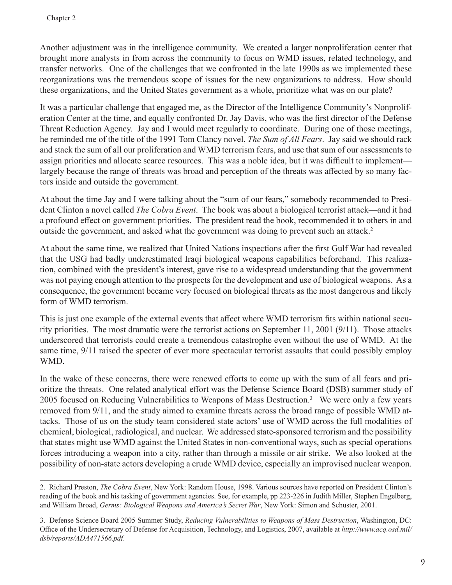Another adjustment was in the intelligence community. We created a larger nonproliferation center that brought more analysts in from across the community to focus on WMD issues, related technology, and transfer networks. One of the challenges that we confronted in the late 1990s as we implemented these reorganizations was the tremendous scope of issues for the new organizations to address. How should these organizations, and the United States government as a whole, prioritize what was on our plate?

It was a particular challenge that engaged me, as the Director of the Intelligence Community's Nonproliferation Center at the time, and equally confronted Dr. Jay Davis, who was the first director of the Defense Threat Reduction Agency. Jay and I would meet regularly to coordinate. During one of those meetings, he reminded me of the title of the 1991 Tom Clancy novel, *The Sum of All Fears*. Jay said we should rack and stack the sum of all our proliferation and WMD terrorism fears, and use that sum of our assessments to assign priorities and allocate scarce resources. This was a noble idea, but it was difficult to implement largely because the range of threats was broad and perception of the threats was affected by so many factors inside and outside the government.

At about the time Jay and I were talking about the "sum of our fears," somebody recommended to President Clinton a novel called *The Cobra Event*. The book was about a biological terrorist attack—and it had a profound effect on government priorities. The president read the book, recommended it to others in and outside the government, and asked what the government was doing to prevent such an attack.<sup>2</sup>

At about the same time, we realized that United Nations inspections after the first Gulf War had revealed that the USG had badly underestimated Iraqi biological weapons capabilities beforehand. This realization, combined with the president's interest, gave rise to a widespread understanding that the government was not paying enough attention to the prospects for the development and use of biological weapons. As a consequence, the government became very focused on biological threats as the most dangerous and likely form of WMD terrorism.

This is just one example of the external events that affect where WMD terrorism fits within national security priorities. The most dramatic were the terrorist actions on September 11, 2001 (9/11). Those attacks underscored that terrorists could create a tremendous catastrophe even without the use of WMD. At the same time, 9/11 raised the specter of ever more spectacular terrorist assaults that could possibly employ WMD.

In the wake of these concerns, there were renewed efforts to come up with the sum of all fears and prioritize the threats. One related analytical effort was the Defense Science Board (DSB) summer study of 2005 focused on Reducing Vulnerabilities to Weapons of Mass Destruction.<sup>3</sup> We were only a few years removed from 9/11, and the study aimed to examine threats across the broad range of possible WMD attacks. Those of us on the study team considered state actors' use of WMD across the full modalities of chemical, biological, radiological, and nuclear. We addressed state-sponsored terrorism and the possibility that states might use WMD against the United States in non-conventional ways, such as special operations forces introducing a weapon into a city, rather than through a missile or air strike. We also looked at the possibility of non-state actors developing a crude WMD device, especially an improvised nuclear weapon.

<sup>2.</sup> Richard Preston, *The Cobra Event*, New York: Random House, 1998. Various sources have reported on President Clinton's reading of the book and his tasking of government agencies. See, for example, pp 223-226 in Judith Miller, Stephen Engelberg, and William Broad, *Germs: Biological Weapons and America's Secret War*, New York: Simon and Schuster, 2001.

<sup>3.</sup> Defense Science Board 2005 Summer Study, *Reducing Vulnerabilities to Weapons of Mass Destruction*, Washington, DC: Office of the Undersecretary of Defense for Acquisition, Technology, and Logistics, 2007, available at *http://www.acq.osd.mil/ dsb/reports/ADA471566.pdf*.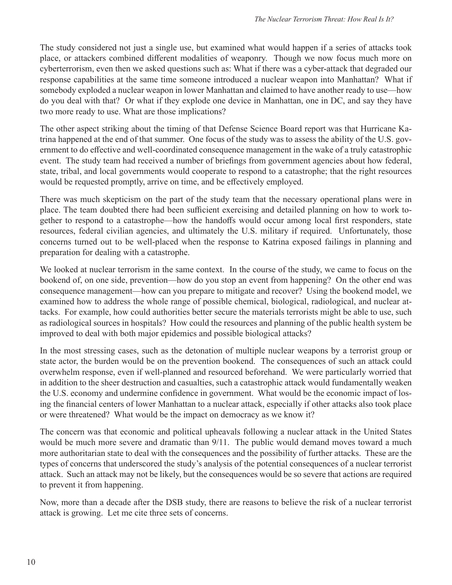The study considered not just a single use, but examined what would happen if a series of attacks took place, or attackers combined different modalities of weaponry. Though we now focus much more on cyberterrorism, even then we asked questions such as: What if there was a cyber-attack that degraded our response capabilities at the same time someone introduced a nuclear weapon into Manhattan? What if somebody exploded a nuclear weapon in lower Manhattan and claimed to have another ready to use—how do you deal with that? Or what if they explode one device in Manhattan, one in DC, and say they have two more ready to use. What are those implications?

The other aspect striking about the timing of that Defense Science Board report was that Hurricane Katrina happened at the end of that summer. One focus of the study was to assess the ability of the U.S. government to do effective and well-coordinated consequence management in the wake of a truly catastrophic event. The study team had received a number of briefings from government agencies about how federal, state, tribal, and local governments would cooperate to respond to a catastrophe; that the right resources would be requested promptly, arrive on time, and be effectively employed.

There was much skepticism on the part of the study team that the necessary operational plans were in place. The team doubted there had been sufficient exercising and detailed planning on how to work together to respond to a catastrophe—how the handoffs would occur among local first responders, state resources, federal civilian agencies, and ultimately the U.S. military if required. Unfortunately, those concerns turned out to be well-placed when the response to Katrina exposed failings in planning and preparation for dealing with a catastrophe.

We looked at nuclear terrorism in the same context. In the course of the study, we came to focus on the bookend of, on one side, prevention—how do you stop an event from happening? On the other end was consequence management—how can you prepare to mitigate and recover? Using the bookend model, we examined how to address the whole range of possible chemical, biological, radiological, and nuclear attacks. For example, how could authorities better secure the materials terrorists might be able to use, such as radiological sources in hospitals? How could the resources and planning of the public health system be improved to deal with both major epidemics and possible biological attacks?

In the most stressing cases, such as the detonation of multiple nuclear weapons by a terrorist group or state actor, the burden would be on the prevention bookend. The consequences of such an attack could overwhelm response, even if well-planned and resourced beforehand. We were particularly worried that in addition to the sheer destruction and casualties, such a catastrophic attack would fundamentally weaken the U.S. economy and undermine confidence in government. What would be the economic impact of losing the financial centers of lower Manhattan to a nuclear attack, especially if other attacks also took place or were threatened? What would be the impact on democracy as we know it?

The concern was that economic and political upheavals following a nuclear attack in the United States would be much more severe and dramatic than 9/11. The public would demand moves toward a much more authoritarian state to deal with the consequences and the possibility of further attacks. These are the types of concerns that underscored the study's analysis of the potential consequences of a nuclear terrorist attack. Such an attack may not be likely, but the consequences would be so severe that actions are required to prevent it from happening.

Now, more than a decade after the DSB study, there are reasons to believe the risk of a nuclear terrorist attack is growing. Let me cite three sets of concerns.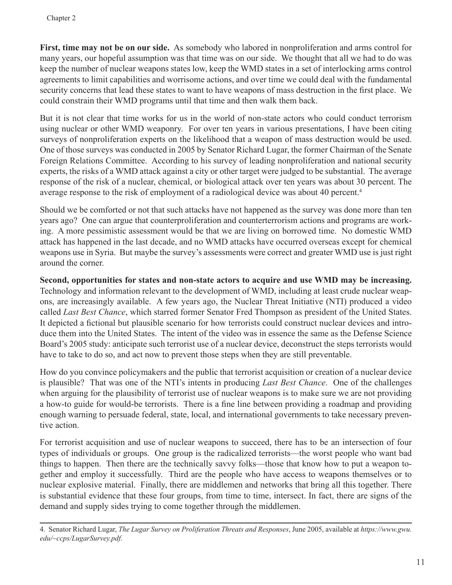**First, time may not be on our side.** As somebody who labored in nonproliferation and arms control for many years, our hopeful assumption was that time was on our side. We thought that all we had to do was keep the number of nuclear weapons states low, keep the WMD states in a set of interlocking arms control agreements to limit capabilities and worrisome actions, and over time we could deal with the fundamental security concerns that lead these states to want to have weapons of mass destruction in the first place. We could constrain their WMD programs until that time and then walk them back.

But it is not clear that time works for us in the world of non-state actors who could conduct terrorism using nuclear or other WMD weaponry. For over ten years in various presentations, I have been citing surveys of nonproliferation experts on the likelihood that a weapon of mass destruction would be used. One of those surveys was conducted in 2005 by Senator Richard Lugar, the former Chairman of the Senate Foreign Relations Committee. According to his survey of leading nonproliferation and national security experts, the risks of a WMD attack against a city or other target were judged to be substantial. The average response of the risk of a nuclear, chemical, or biological attack over ten years was about 30 percent. The average response to the risk of employment of a radiological device was about 40 percent.4

Should we be comforted or not that such attacks have not happened as the survey was done more than ten years ago? One can argue that counterproliferation and counterterrorism actions and programs are working. A more pessimistic assessment would be that we are living on borrowed time. No domestic WMD attack has happened in the last decade, and no WMD attacks have occurred overseas except for chemical weapons use in Syria. But maybe the survey's assessments were correct and greater WMD use is just right around the corner.

**Second, opportunities for states and non-state actors to acquire and use WMD may be increasing.** Technology and information relevant to the development of WMD, including at least crude nuclear weapons, are increasingly available. A few years ago, the Nuclear Threat Initiative (NTI) produced a video called *Last Best Chance*, which starred former Senator Fred Thompson as president of the United States. It depicted a fictional but plausible scenario for how terrorists could construct nuclear devices and introduce them into the United States. The intent of the video was in essence the same as the Defense Science Board's 2005 study: anticipate such terrorist use of a nuclear device, deconstruct the steps terrorists would have to take to do so, and act now to prevent those steps when they are still preventable.

How do you convince policymakers and the public that terrorist acquisition or creation of a nuclear device is plausible? That was one of the NTI's intents in producing *Last Best Chance*. One of the challenges when arguing for the plausibility of terrorist use of nuclear weapons is to make sure we are not providing a how-to guide for would-be terrorists. There is a fine line between providing a roadmap and providing enough warning to persuade federal, state, local, and international governments to take necessary preventive action.

For terrorist acquisition and use of nuclear weapons to succeed, there has to be an intersection of four types of individuals or groups. One group is the radicalized terrorists—the worst people who want bad things to happen. Then there are the technically savvy folks—those that know how to put a weapon together and employ it successfully. Third are the people who have access to weapons themselves or to nuclear explosive material. Finally, there are middlemen and networks that bring all this together. There is substantial evidence that these four groups, from time to time, intersect. In fact, there are signs of the demand and supply sides trying to come together through the middlemen.

<sup>4.</sup> Senator Richard Lugar, *The Lugar Survey on Proliferation Threats and Responses*, June 2005, available at *https://www.gwu. edu/~ccps/LugarSurvey.pdf.*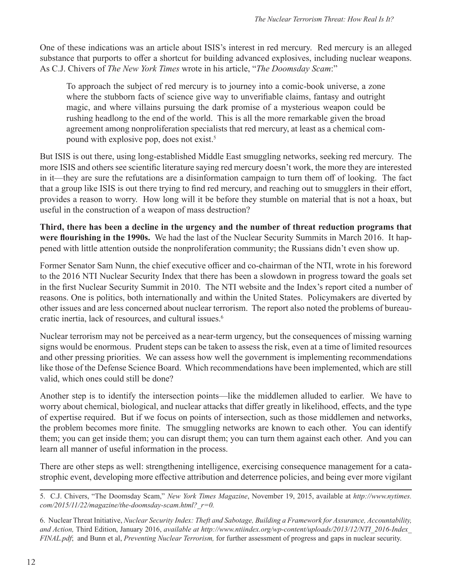One of these indications was an article about ISIS's interest in red mercury. Red mercury is an alleged substance that purports to offer a shortcut for building advanced explosives, including nuclear weapons. As C.J. Chivers of *The New York Times* wrote in his article, "*The Doomsday Scam*:"

To approach the subject of red mercury is to journey into a comic-book universe, a zone where the stubborn facts of science give way to unverifiable claims, fantasy and outright magic, and where villains pursuing the dark promise of a mysterious weapon could be rushing headlong to the end of the world. This is all the more remarkable given the broad agreement among nonproliferation specialists that red mercury, at least as a chemical compound with explosive pop, does not exist.5

But ISIS is out there, using long-established Middle East smuggling networks, seeking red mercury. The more ISIS and others see scientific literature saying red mercury doesn't work, the more they are interested in it—they are sure the refutations are a disinformation campaign to turn them off of looking. The fact that a group like ISIS is out there trying to find red mercury, and reaching out to smugglers in their effort, provides a reason to worry. How long will it be before they stumble on material that is not a hoax, but useful in the construction of a weapon of mass destruction?

**Third, there has been a decline in the urgency and the number of threat reduction programs that were flourishing in the 1990s.** We had the last of the Nuclear Security Summits in March 2016. It happened with little attention outside the nonproliferation community; the Russians didn't even show up.

Former Senator Sam Nunn, the chief executive officer and co-chairman of the NTI, wrote in his foreword to the 2016 NTI Nuclear Security Index that there has been a slowdown in progress toward the goals set in the first Nuclear Security Summit in 2010. The NTI website and the Index's report cited a number of reasons. One is politics, both internationally and within the United States. Policymakers are diverted by other issues and are less concerned about nuclear terrorism. The report also noted the problems of bureaucratic inertia, lack of resources, and cultural issues.6

Nuclear terrorism may not be perceived as a near-term urgency, but the consequences of missing warning signs would be enormous. Prudent steps can be taken to assess the risk, even at a time of limited resources and other pressing priorities. We can assess how well the government is implementing recommendations like those of the Defense Science Board. Which recommendations have been implemented, which are still valid, which ones could still be done?

Another step is to identify the intersection points—like the middlemen alluded to earlier. We have to worry about chemical, biological, and nuclear attacks that differ greatly in likelihood, effects, and the type of expertise required. But if we focus on points of intersection, such as those middlemen and networks, the problem becomes more finite. The smuggling networks are known to each other. You can identify them; you can get inside them; you can disrupt them; you can turn them against each other. And you can learn all manner of useful information in the process.

There are other steps as well: strengthening intelligence, exercising consequence management for a catastrophic event, developing more effective attribution and deterrence policies, and being ever more vigilant

<sup>5.</sup> C.J. Chivers, "The Doomsday Scam," *New York Times Magazine*, November 19, 2015, available at *http://www.nytimes. com/2015/11/22/magazine/the-doomsday-scam.html?\_r=0.*

<sup>6.</sup> Nuclear Threat Initiative, *Nuclear Security Index: Theft and Sabotage, Building a Framework for Assurance, Accountability, and Action,* Third Edition, January 2016, *available at http://www.ntiindex.org/wp-content/uploads/2013/12/NTI\_2016-Index\_ FINAL.pdf*; and Bunn et al, *Preventing Nuclear Terrorism,* for further assessment of progress and gaps in nuclear security.